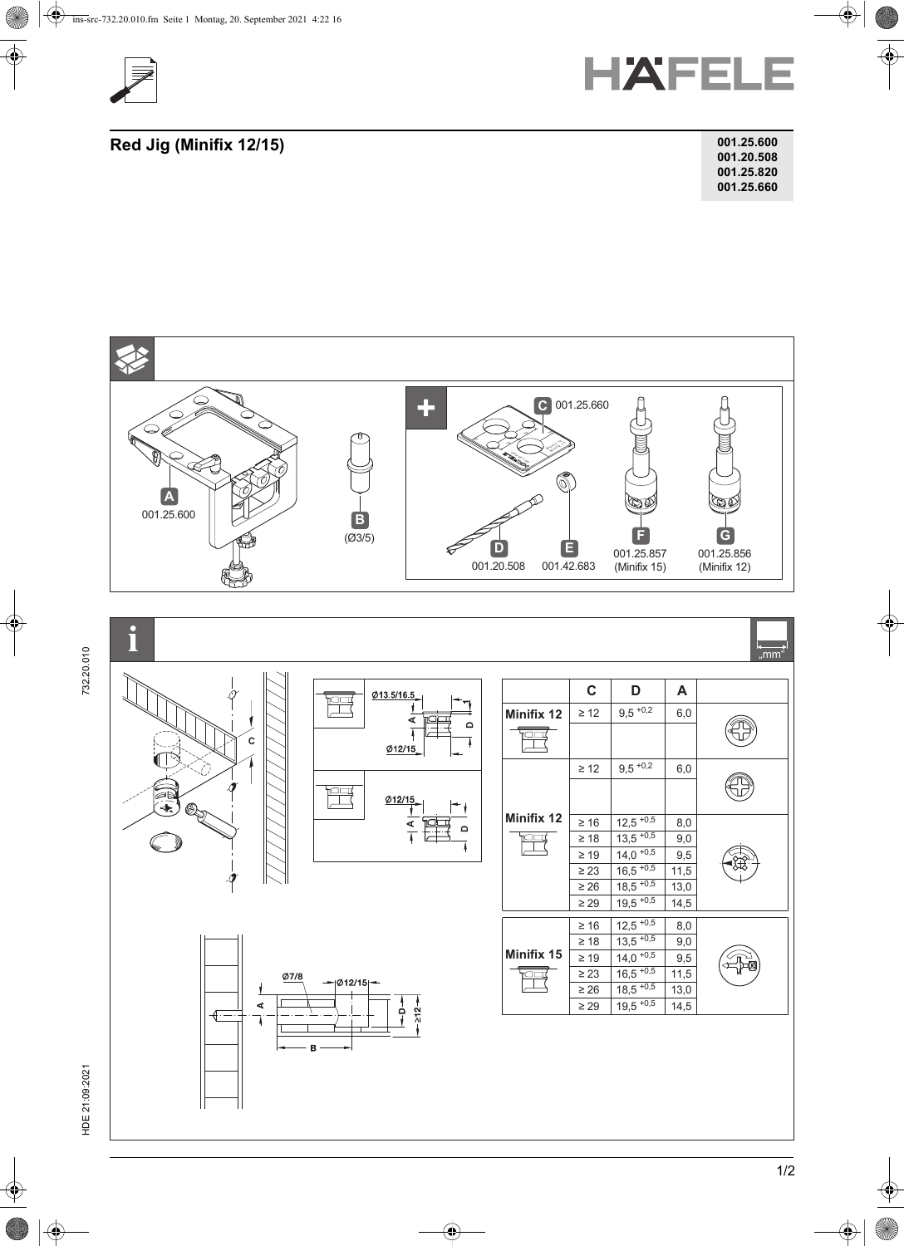



**Red Jig (Minifix 12/15)** 

| 001.25.600 |
|------------|
| 001.20.508 |
| 001.25.820 |
| 001.25.660 |



732.20.010

HDE 21:09:2021 732.20.010 HDE 21:09:2021

1/2